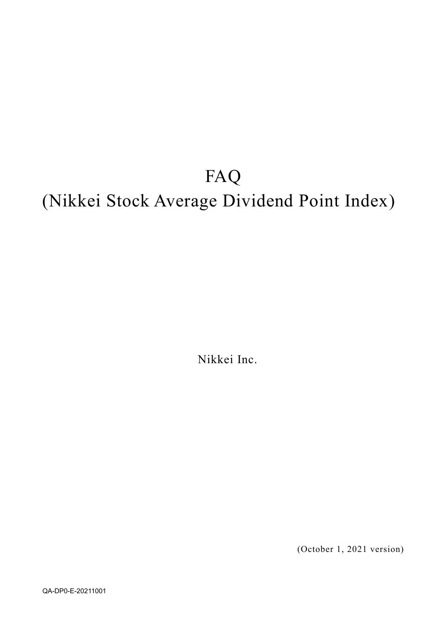# FAQ (Nikkei Stock Average Dividend Point Index)

Nikkei Inc.

(October 1, 2021 version)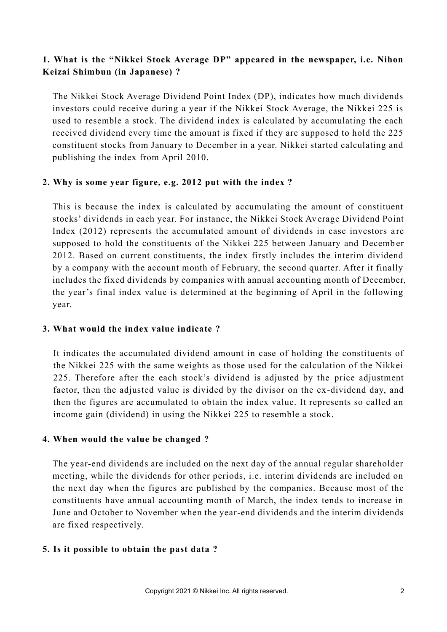## **1. What is the "Nikkei Stock Average DP" appeared in the newspaper, i.e. Nihon Keizai Shimbun (in Japanese) ?**

The Nikkei Stock Average Dividend Point Index (DP), indicates how much dividends investors could receive during a year if the Nikkei Stock Average, the Nikkei 225 is used to resemble a stock. The dividend index is calculated by accumulating the each received dividend every time the amount is fixed if they are supposed to hold the 225 constituent stocks from January to December in a year. Nikkei started calculating and publishing the index from April 2010.

#### **2. Why is some year figure, e.g. 2012 put with the index ?**

This is because the index is calculated by accumulating the amount of constituent stocks' dividends in each year. For instance, the Nikkei Stock Av erage Dividend Point Index (2012) represents the accumulated amount of dividends in case investors a re supposed to hold the constituents of the Nikkei 225 between January and Decemb er 2012. Based on current constituents, the index firstly includes the interim dividend by a company with the account month of February, the second quarter. After it finally includes the fixed dividends by companies with annual accounting month of December, the year's final index value is determined at the beginning of April in the following year.

#### **3. What would the index value indicate ?**

It indicates the accumulated dividend amount in case of holding the constituents of the Nikkei 225 with the same weights as those used for the calculation of the Nikkei 225. Therefore after the each stock's dividend is adjusted by the price adjustment factor, then the adjusted value is divided by the divisor on the ex-dividend day, and then the figures are accumulated to obtain the index value. It represents so called an income gain (dividend) in using the Nikkei 225 to resemble a stock.

#### **4. When would the value be changed ?**

The year-end dividends are included on the next day of the annual regular shareholder meeting, while the dividends for other periods, i.e. interim dividends are included on the next day when the figures are published by the companies. Because most of the constituents have annual accounting month of March, the index tends to increase in June and October to November when the year-end dividends and the interim dividends are fixed respectively.

#### **5. Is it possible to obtain the past data ?**